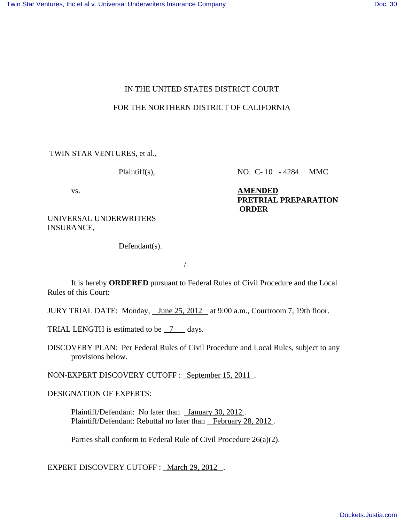# IN THE UNITED STATES DISTRICT COURT

### FOR THE NORTHERN DISTRICT OF CALIFORNIA

TWIN STAR VENTURES, et al.,

Plaintiff(s), NO. C- 10 - 4284 MMC

vs. **AMENDED PRETRIAL PREPARATION ORDER**

UNIVERSAL UNDERWRITERS INSURANCE,

Defendant(s).

/

It is hereby **ORDERED** pursuant to Federal Rules of Civil Procedure and the Local Rules of this Court:

JURY TRIAL DATE: Monday, June 25, 2012 at 9:00 a.m., Courtroom 7, 19th floor.

TRIAL LENGTH is estimated to be  $\frac{7}{2}$  days.

DISCOVERY PLAN: Per Federal Rules of Civil Procedure and Local Rules, subject to any provisions below.

NON-EXPERT DISCOVERY CUTOFF : September 15, 2011 .

DESIGNATION OF EXPERTS:

Plaintiff/Defendant: No later than January 30, 2012. Plaintiff/Defendant: Rebuttal no later than February 28, 2012.

Parties shall conform to Federal Rule of Civil Procedure 26(a)(2).

EXPERT DISCOVERY CUTOFF : March 29, 2012.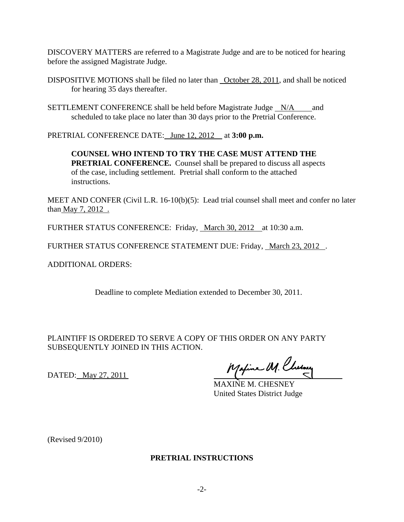DISCOVERY MATTERS are referred to a Magistrate Judge and are to be noticed for hearing before the assigned Magistrate Judge.

- DISPOSITIVE MOTIONS shall be filed no later than October 28, 2011, and shall be noticed for hearing 35 days thereafter.
- SETTLEMENT CONFERENCE shall be held before Magistrate Judge  $N/A$  and scheduled to take place no later than 30 days prior to the Pretrial Conference.

PRETRIAL CONFERENCE DATE: June 12, 2012 at **3:00 p.m.**

**COUNSEL WHO INTEND TO TRY THE CASE MUST ATTEND THE PRETRIAL CONFERENCE.** Counsel shall be prepared to discuss all aspects of the case, including settlement. Pretrial shall conform to the attached instructions.

MEET AND CONFER (Civil L.R. 16-10(b)(5): Lead trial counsel shall meet and confer no later than <u>May 7, 2012</u>.

FURTHER STATUS CONFERENCE: Friday, March 30, 2012 at 10:30 a.m.

FURTHER STATUS CONFERENCE STATEMENT DUE: Friday, March 23, 2012.

ADDITIONAL ORDERS:

Deadline to complete Mediation extended to December 30, 2011.

PLAINTIFF IS ORDERED TO SERVE A COPY OF THIS ORDER ON ANY PARTY SUBSEQUENTLY JOINED IN THIS ACTION.

DATED: May 27, 2011

Maxime M. Chesney

MAXINE M. CHESNEY United States District Judge

(Revised 9/2010)

#### **PRETRIAL INSTRUCTIONS**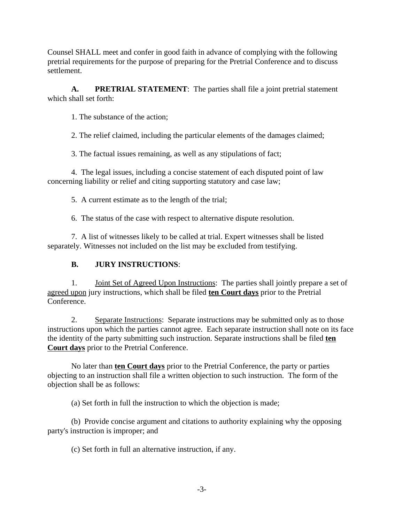Counsel SHALL meet and confer in good faith in advance of complying with the following pretrial requirements for the purpose of preparing for the Pretrial Conference and to discuss settlement.

**A. PRETRIAL STATEMENT**: The parties shall file a joint pretrial statement which shall set forth:

1. The substance of the action;

2. The relief claimed, including the particular elements of the damages claimed;

3. The factual issues remaining, as well as any stipulations of fact;

4. The legal issues, including a concise statement of each disputed point of law concerning liability or relief and citing supporting statutory and case law;

5. A current estimate as to the length of the trial;

6. The status of the case with respect to alternative dispute resolution.

7. A list of witnesses likely to be called at trial. Expert witnesses shall be listed separately. Witnesses not included on the list may be excluded from testifying.

# **B. JURY INSTRUCTIONS**:

1. Joint Set of Agreed Upon Instructions: The parties shall jointly prepare a set of agreed upon jury instructions, which shall be filed **ten Court days** prior to the Pretrial Conference.

2. Separate Instructions: Separate instructions may be submitted only as to those instructions upon which the parties cannot agree. Each separate instruction shall note on its face the identity of the party submitting such instruction. Separate instructions shall be filed **ten Court days** prior to the Pretrial Conference.

No later than **ten Court days** prior to the Pretrial Conference, the party or parties objecting to an instruction shall file a written objection to such instruction. The form of the objection shall be as follows:

(a) Set forth in full the instruction to which the objection is made;

(b) Provide concise argument and citations to authority explaining why the opposing party's instruction is improper; and

(c) Set forth in full an alternative instruction, if any.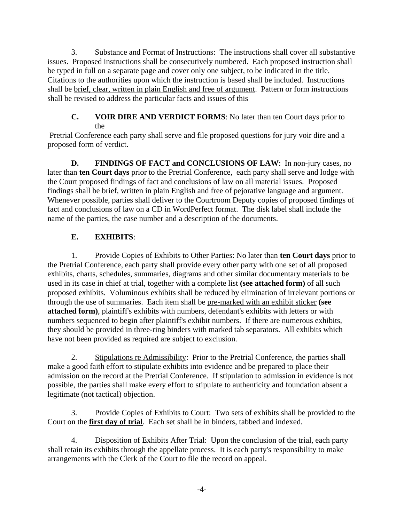3. Substance and Format of Instructions: The instructions shall cover all substantive issues. Proposed instructions shall be consecutively numbered. Each proposed instruction shall be typed in full on a separate page and cover only one subject, to be indicated in the title. Citations to the authorities upon which the instruction is based shall be included. Instructions shall be brief, clear, written in plain English and free of argument. Pattern or form instructions shall be revised to address the particular facts and issues of this

## **C. VOIR DIRE AND VERDICT FORMS**: No later than ten Court days prior to the

 Pretrial Conference each party shall serve and file proposed questions for jury voir dire and a proposed form of verdict.

**D. FINDINGS OF FACT and CONCLUSIONS OF LAW**: In non-jury cases, no later than **ten Court days** prior to the Pretrial Conference, each party shall serve and lodge with the Court proposed findings of fact and conclusions of law on all material issues. Proposed findings shall be brief, written in plain English and free of pejorative language and argument. Whenever possible, parties shall deliver to the Courtroom Deputy copies of proposed findings of fact and conclusions of law on a CD in WordPerfect format. The disk label shall include the name of the parties, the case number and a description of the documents.

# **E. EXHIBITS**:

1. Provide Copies of Exhibits to Other Parties: No later than **ten Court days** prior to the Pretrial Conference, each party shall provide every other party with one set of all proposed exhibits, charts, schedules, summaries, diagrams and other similar documentary materials to be used in its case in chief at trial, together with a complete list **(see attached form)** of all such proposed exhibits. Voluminous exhibits shall be reduced by elimination of irrelevant portions or through the use of summaries. Each item shall be pre-marked with an exhibit sticker **(see attached form)**, plaintiff's exhibits with numbers, defendant's exhibits with letters or with numbers sequenced to begin after plaintiff's exhibit numbers. If there are numerous exhibits, they should be provided in three-ring binders with marked tab separators. All exhibits which have not been provided as required are subject to exclusion.

2. Stipulations re Admissibility: Prior to the Pretrial Conference, the parties shall make a good faith effort to stipulate exhibits into evidence and be prepared to place their admission on the record at the Pretrial Conference. If stipulation to admission in evidence is not possible, the parties shall make every effort to stipulate to authenticity and foundation absent a legitimate (not tactical) objection.

3. Provide Copies of Exhibits to Court: Two sets of exhibits shall be provided to the Court on the **first day of trial**. Each set shall be in binders, tabbed and indexed.

4. Disposition of Exhibits After Trial: Upon the conclusion of the trial, each party shall retain its exhibits through the appellate process. It is each party's responsibility to make arrangements with the Clerk of the Court to file the record on appeal.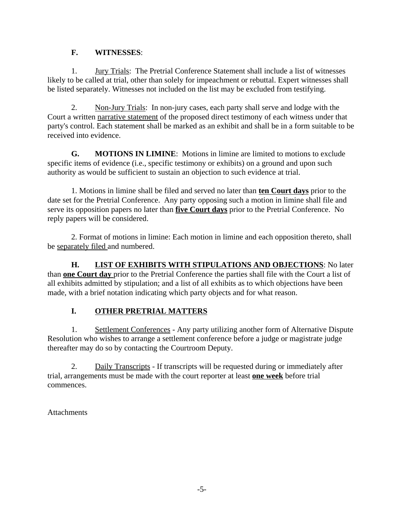## **F. WITNESSES**:

1. Jury Trials: The Pretrial Conference Statement shall include a list of witnesses likely to be called at trial, other than solely for impeachment or rebuttal. Expert witnesses shall be listed separately. Witnesses not included on the list may be excluded from testifying.

2. Non-Jury Trials: In non-jury cases, each party shall serve and lodge with the Court a written narrative statement of the proposed direct testimony of each witness under that party's control. Each statement shall be marked as an exhibit and shall be in a form suitable to be received into evidence.

**G. MOTIONS IN LIMINE**: Motions in limine are limited to motions to exclude specific items of evidence (i.e., specific testimony or exhibits) on a ground and upon such authority as would be sufficient to sustain an objection to such evidence at trial.

1. Motions in limine shall be filed and served no later than **ten Court days** prior to the date set for the Pretrial Conference. Any party opposing such a motion in limine shall file and serve its opposition papers no later than **five Court days** prior to the Pretrial Conference. No reply papers will be considered.

2. Format of motions in limine: Each motion in limine and each opposition thereto, shall be separately filed and numbered.

**H. LIST OF EXHIBITS WITH STIPULATIONS AND OBJECTIONS**: No later than **one Court day** prior to the Pretrial Conference the parties shall file with the Court a list of all exhibits admitted by stipulation; and a list of all exhibits as to which objections have been made, with a brief notation indicating which party objects and for what reason.

# **I. OTHER PRETRIAL MATTERS**

1. Settlement Conferences - Any party utilizing another form of Alternative Dispute Resolution who wishes to arrange a settlement conference before a judge or magistrate judge thereafter may do so by contacting the Courtroom Deputy.

2. Daily Transcripts - If transcripts will be requested during or immediately after trial, arrangements must be made with the court reporter at least **one week** before trial commences.

**Attachments**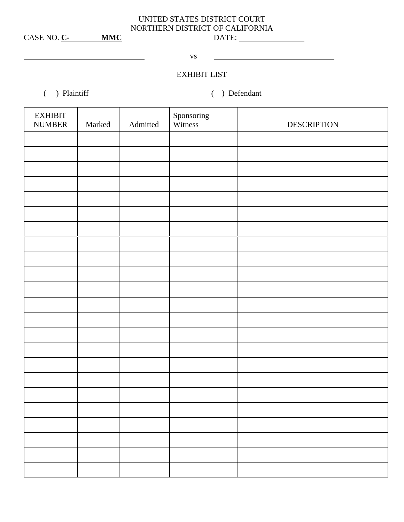# UNITED STATES DISTRICT COURT NORTHERN DISTRICT OF CALIFORNIA

CASE NO. **C-** MMC

**vs** 

# EXHIBIT LIST

( ) Plaintiff ( ) Defendant

| <b>EXHIBIT</b><br><b>NUMBER</b> | Marked | Admitted | Sponsoring<br>Witness | <b>DESCRIPTION</b> |
|---------------------------------|--------|----------|-----------------------|--------------------|
|                                 |        |          |                       |                    |
|                                 |        |          |                       |                    |
|                                 |        |          |                       |                    |
|                                 |        |          |                       |                    |
|                                 |        |          |                       |                    |
|                                 |        |          |                       |                    |
|                                 |        |          |                       |                    |
|                                 |        |          |                       |                    |
|                                 |        |          |                       |                    |
|                                 |        |          |                       |                    |
|                                 |        |          |                       |                    |
|                                 |        |          |                       |                    |
|                                 |        |          |                       |                    |
|                                 |        |          |                       |                    |
|                                 |        |          |                       |                    |
|                                 |        |          |                       |                    |
|                                 |        |          |                       |                    |
|                                 |        |          |                       |                    |
|                                 |        |          |                       |                    |
|                                 |        |          |                       |                    |
|                                 |        |          |                       |                    |
|                                 |        |          |                       |                    |
|                                 |        |          |                       |                    |